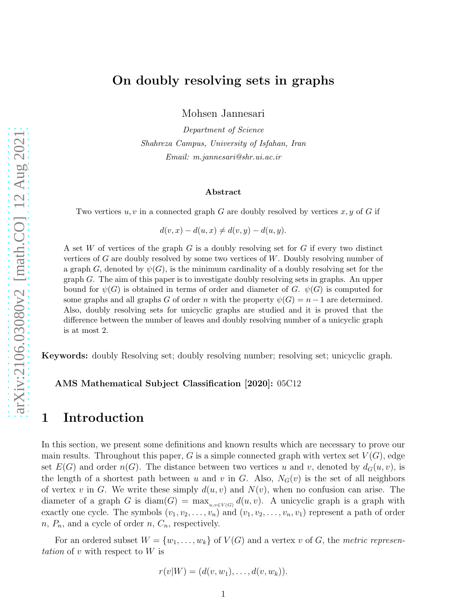Mohsen Jannesari

*Department of Science Shahreza Campus, University of Isfahan, Iran Email: m.jannesari@shr.ui.ac.ir*

#### Abstract

Two vertices  $u, v$  in a connected graph G are doubly resolved by vertices  $x, y$  of G if

 $d(v, x) - d(u, x) \neq d(v, y) - d(u, y).$ 

A set W of vertices of the graph  $G$  is a doubly resolving set for  $G$  if every two distinct vertices of G are doubly resolved by some two vertices of W. Doubly resolving number of a graph G, denoted by  $\psi(G)$ , is the minimum cardinality of a doubly resolving set for the  $graph G$ . The aim of this paper is to investigate doubly resolving sets in graphs. An upper bound for  $\psi(G)$  is obtained in terms of order and diameter of G.  $\psi(G)$  is computed for some graphs and all graphs G of order n with the property  $\psi(G) = n - 1$  are determined. Also, doubly resolving sets for unicyclic graphs are studied and it is proved that the difference between the number of leaves and doubly resolving number of a unicyclic graph is at most 2.

Keywords: doubly Resolving set; doubly resolving number; resolving set; unicyclic graph.

AMS Mathematical Subject Classification [2020]: 05C12

### 1 Introduction

In this section, we present some definitions and known results which are necessary to prove our main results. Throughout this paper, G is a simple connected graph with vertex set  $V(G)$ , edge set  $E(G)$  and order  $n(G)$ . The distance between two vertices u and v, denoted by  $d_G(u, v)$ , is the length of a shortest path between u and v in G. Also,  $N_G(v)$  is the set of all neighbors of vertex v in G. We write these simply  $d(u, v)$  and  $N(v)$ , when no confusion can arise. The diameter of a graph G is  $\text{diam}(G) = \max_{u,v \in V(G)} d(u,v)$ . A unicyclic graph is a graph with exactly one cycle. The symbols  $(v_1, v_2, \ldots, v_n)$  and  $(v_1, v_2, \ldots, v_n, v_1)$  represent a path of order  $n, P_n$ , and a cycle of order  $n, C_n$ , respectively.

For an ordered subset  $W = \{w_1, \ldots, w_k\}$  of  $V(G)$  and a vertex v of G, the metric representation of v with respect to  $W$  is

$$
r(v|W) = (d(v, w_1), \ldots, d(v, w_k)).
$$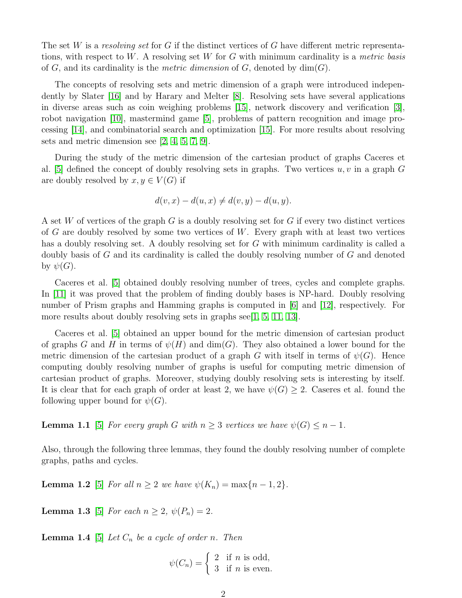The set W is a resolving set for G if the distinct vertices of G have different metric representations, with respect to W. A resolving set W for G with minimum cardinality is a metric basis of G, and its cardinality is the *metric dimension* of G, denoted by  $dim(G)$ .

The concepts of resolving sets and metric dimension of a graph were introduced independently by Slater [\[16\]](#page-9-0) and by Harary and Melter [\[8\]](#page-9-1). Resolving sets have several applications in diverse areas such as coin weighing problems [\[15\]](#page-9-2), network discovery and verification [\[3\]](#page-9-3), robot navigation [\[10\]](#page-9-4), mastermind game [5], problems of pattern recognition and image processing [\[14\]](#page-9-5), and combinatorial search and optimization [\[15\]](#page-9-2). For more results about resolving sets and metric dimension see [\[2,](#page-9-6) 4, 5, [7,](#page-9-7) [9\]](#page-9-8).

During the study of the metric dimension of the cartesian product of graphs Caceres et al. [5] defined the concept of doubly resolving sets in graphs. Two vertices  $u, v$  in a graph G are doubly resolved by  $x, y \in V(G)$  if

$$
d(v, x) - d(u, x) \neq d(v, y) - d(u, y).
$$

A set W of vertices of the graph G is a doubly resolving set for G if every two distinct vertices of G are doubly resolved by some two vertices of W. Every graph with at least two vertices has a doubly resolving set. A doubly resolving set for G with minimum cardinality is called a doubly basis of  $G$  and its cardinality is called the doubly resolving number of  $G$  and denoted by  $\psi(G)$ .

Caceres et al. [5] obtained doubly resolving number of trees, cycles and complete graphs. In [11] it was proved that the problem of finding doubly bases is NP-hard. Doubly resolving number of Prism graphs and Hamming graphs is computed in [\[6\]](#page-9-9) and [\[12\]](#page-9-10), respectively. For more results about doubly resolving sets in graphs see[\[1,](#page-9-11) 5, 11, [13\]](#page-9-12).

Caceres et al. [5] obtained an upper bound for the metric dimension of cartesian product of graphs G and H in terms of  $\psi(H)$  and  $\dim(G)$ . They also obtained a lower bound for the metric dimension of the cartesian product of a graph G with itself in terms of  $\psi(G)$ . Hence computing doubly resolving number of graphs is useful for computing metric dimension of cartesian product of graphs. Moreover, studying doubly resolving sets is interesting by itself. It is clear that for each graph of order at least 2, we have  $\psi(G) \geq 2$ . Caseres et al. found the following upper bound for  $\psi(G)$ .

**Lemma 1.1** [5] For every graph G with  $n \geq 3$  vertices we have  $\psi(G) \leq n-1$ .

<span id="page-1-1"></span>Also, through the following three lemmas, they found the doubly resolving number of complete graphs, paths and cycles.

<span id="page-1-0"></span>**Lemma 1.2** [5] For all  $n \ge 2$  we have  $\psi(K_n) = \max\{n-1, 2\}.$ 

<span id="page-1-2"></span>**Lemma 1.3** [5] For each  $n \ge 2$ ,  $\psi(P_n) = 2$ .

**Lemma 1.4** [5] Let  $C_n$  be a cycle of order n. Then

$$
\psi(C_n) = \begin{cases} 2 & \text{if } n \text{ is odd,} \\ 3 & \text{if } n \text{ is even.} \end{cases}
$$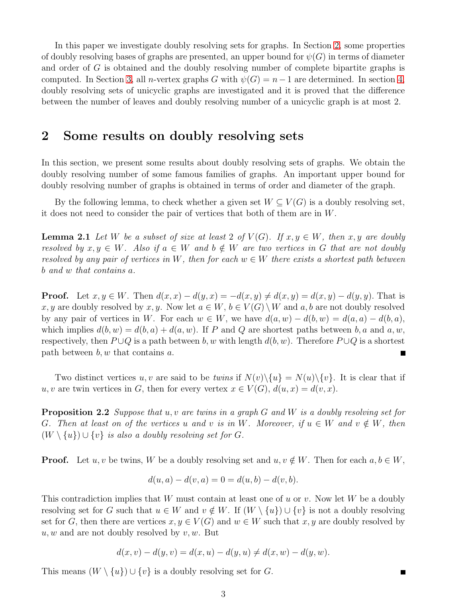In this paper we investigate doubly resolving sets for graphs. In Section [2,](#page-2-0) some properties of doubly resolving bases of graphs are presented, an upper bound for  $\psi(G)$  in terms of diameter and order of G is obtained and the doubly resolving number of complete bipartite graphs is computed. In Section [3,](#page-4-0) all n-vertex graphs G with  $\psi(G) = n-1$  are determined. In section [4,](#page-6-0) doubly resolving sets of unicyclic graphs are investigated and it is proved that the difference between the number of leaves and doubly resolving number of a unicyclic graph is at most 2.

## <span id="page-2-0"></span>2 Some results on doubly resolving sets

In this section, we present some results about doubly resolving sets of graphs. We obtain the doubly resolving number of some famous families of graphs. An important upper bound for doubly resolving number of graphs is obtained in terms of order and diameter of the graph.

<span id="page-2-2"></span>By the following lemma, to check whether a given set  $W \subseteq V(G)$  is a doubly resolving set, it does not need to consider the pair of vertices that both of them are in W.

**Lemma 2.1** Let W be a subset of size at least 2 of  $V(G)$ . If  $x, y \in W$ , then x, y are doubly resolved by  $x, y \in W$ . Also if  $a \in W$  and  $b \notin W$  are two vertices in G that are not doubly resolved by any pair of vertices in W, then for each  $w \in W$  there exists a shortest path between b and w that contains a.

**Proof.** Let  $x, y \in W$ . Then  $d(x, x) - d(y, x) = -d(x, y) \neq d(x, y) = d(x, y) - d(y, y)$ . That is x, y are doubly resolved by x, y. Now let  $a \in W$ ,  $b \in V(G) \setminus W$  and  $a, b$  are not doubly resolved by any pair of vertices in W. For each  $w \in W$ , we have  $d(a, w) - d(b, w) = d(a, a) - d(b, a)$ , which implies  $d(b, w) = d(b, a) + d(a, w)$ . If P and Q are shortest paths between b, a and a, w, respectively, then  $P \cup Q$  is a path between b, w with length  $d(b, w)$ . Therefore  $P \cup Q$  is a shortest path between  $b, w$  that contains  $a$ . E

Two distinct vertices u, v are said to be twins if  $N(v)\setminus\{u\} = N(u)\setminus\{v\}$ . It is clear that if u, v are twin vertices in G, then for every vertex  $x \in V(G)$ ,  $d(u, x) = d(v, x)$ .

**Proposition 2.2** Suppose that u, v are twins in a graph G and W is a doubly resolving set for G. Then at least on of the vertices u and v is in W. Moreover, if  $u \in W$  and  $v \notin W$ , then  $(W \setminus \{u\}) \cup \{v\}$  is also a doubly resolving set for G.

**Proof.** Let  $u, v$  be twins, W be a doubly resolving set and  $u, v \notin W$ . Then for each  $a, b \in W$ ,

$$
d(u, a) - d(v, a) = 0 = d(u, b) - d(v, b).
$$

This contradiction implies that W must contain at least one of u or v. Now let W be a doubly resolving set for G such that  $u \in W$  and  $v \notin W$ . If  $(W \setminus \{u\}) \cup \{v\}$  is not a doubly resolving set for G, then there are vertices  $x, y \in V(G)$  and  $w \in W$  such that  $x, y$  are doubly resolved by  $u, w$  and are not doubly resolved by  $v, w$ . But

$$
d(x, v) - d(y, v) = d(x, u) - d(y, u) \neq d(x, w) - d(y, w).
$$

This means  $(W \setminus \{u\}) \cup \{v\}$  is a doubly resolving set for G.

<span id="page-2-1"></span> $\blacksquare$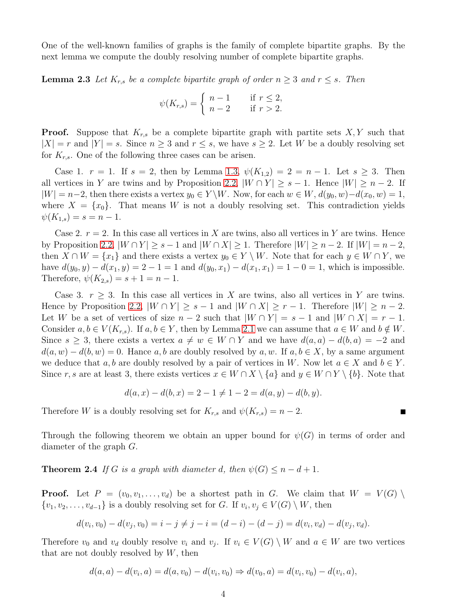One of the well-known families of graphs is the family of complete bipartite graphs. By the next lemma we compute the doubly resolving number of complete bipartite graphs.

**Lemma 2.3** Let  $K_{r,s}$  be a complete bipartite graph of order  $n \geq 3$  and  $r \leq s$ . Then

<span id="page-3-1"></span>
$$
\psi(K_{r,s}) = \begin{cases} n-1 & \text{if } r \le 2, \\ n-2 & \text{if } r > 2. \end{cases}
$$

**Proof.** Suppose that  $K_{r,s}$  be a complete bipartite graph with partite sets  $X, Y$  such that  $|X| = r$  and  $|Y| = s$ . Since  $n \geq 3$  and  $r \leq s$ , we have  $s \geq 2$ . Let W be a doubly resolving set for  $K_{r,s}$ . One of the following three cases can be arisen.

Case 1.  $r = 1$ . If  $s = 2$ , then by Lemma [1.3,](#page-1-0)  $\psi(K_{1,2}) = 2 = n - 1$ . Let  $s \geq 3$ . Then all vertices in Y are twins and by Proposition [2.2,](#page-2-1)  $|W \cap Y| \geq s - 1$ . Hence  $|W| \geq n - 2$ . If  $|W| = n-2$ , then there exists a vertex  $y_0 \in Y \backslash W$ . Now, for each  $w \in W$ ,  $d(y_0, w) - d(x_0, w) = 1$ , where  $X = \{x_0\}$ . That means W is not a doubly resolving set. This contradiction yields  $\psi(K_{1,s}) = s = n-1.$ 

Case 2.  $r = 2$ . In this case all vertices in X are twins, also all vertices in Y are twins. Hence by Proposition [2.2,](#page-2-1)  $|W \cap Y| \geq s - 1$  and  $|W \cap X| \geq 1$ . Therefore  $|W| \geq n - 2$ . If  $|W| = n - 2$ , then  $X \cap W = \{x_1\}$  and there exists a vertex  $y_0 \in Y \setminus W$ . Note that for each  $y \in W \cap Y$ , we have  $d(y_0, y) - d(x_1, y) = 2 - 1 = 1$  and  $d(y_0, x_1) - d(x_1, x_1) = 1 - 0 = 1$ , which is impossible. Therefore,  $\psi(K_{2,s}) = s + 1 = n - 1$ .

Case 3.  $r > 3$ . In this case all vertices in X are twins, also all vertices in Y are twins. Hence by Proposition [2.2,](#page-2-1)  $|W \cap Y| \geq s - 1$  and  $|W \cap X| \geq r - 1$ . Therefore  $|W| \geq n - 2$ . Let W be a set of vertices of size  $n-2$  such that  $|W \cap Y| = s-1$  and  $|W \cap X| = r-1$ . Consider  $a, b \in V(K_{r,s})$ . If  $a, b \in Y$ , then by Lemma [2.1](#page-2-2) we can assume that  $a \in W$  and  $b \notin W$ . Since  $s \geq 3$ , there exists a vertex  $a \neq w \in W \cap Y$  and we have  $d(a, a) - d(b, a) = -2$  and  $d(a, w) - d(b, w) = 0$ . Hance a, b are doubly resolved by a, w. If  $a, b \in X$ , by a same argument we deduce that a, b are doubly resolved by a pair of vertices in W. Now let  $a \in X$  and  $b \in Y$ . Since r, s are at least 3, there exists vertices  $x \in W \cap X \setminus \{a\}$  and  $y \in W \cap Y \setminus \{b\}$ . Note that

<span id="page-3-0"></span>
$$
d(a, x) - d(b, x) = 2 - 1 \neq 1 - 2 = d(a, y) - d(b, y).
$$

Therefore W is a doubly resolving set for  $K_{r,s}$  and  $\psi(K_{r,s}) = n-2$ .

Through the following theorem we obtain an upper bound for  $\psi(G)$  in terms of order and diameter of the graph G.

**Theorem 2.4** If G is a graph with diameter d, then  $\psi(G) \leq n - d + 1$ .

**Proof.** Let  $P = (v_0, v_1, \ldots, v_d)$  be a shortest path in G. We claim that  $W = V(G)$  $\{v_1, v_2, \ldots, v_{d-1}\}\$ is a doubly resolving set for G. If  $v_i, v_j \in V(G) \setminus W$ , then

$$
d(v_i, v_0) - d(v_j, v_0) = i - j \neq j - i = (d - i) - (d - j) = d(v_i, v_d) - d(v_j, v_d).
$$

Therefore  $v_0$  and  $v_d$  doubly resolve  $v_i$  and  $v_j$ . If  $v_i \in V(G) \setminus W$  and  $a \in W$  are two vertices that are not doubly resolved by  $W$ , then

$$
d(a, a) - d(v_i, a) = d(a, v_0) - d(v_i, v_0) \Rightarrow d(v_0, a) = d(v_i, v_0) - d(v_i, a),
$$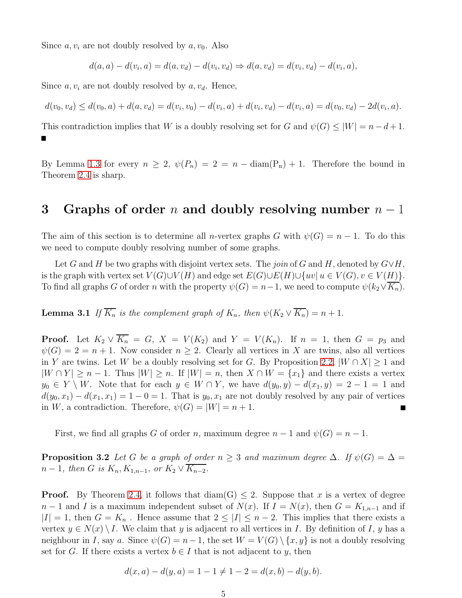Since  $a, v_i$  are not doubly resolved by  $a, v_0$ . Also

$$
d(a, a) - d(v_i, a) = d(a, v_d) - d(v_i, v_d) \Rightarrow d(a, v_d) = d(v_i, v_d) - d(v_i, a),
$$

Since  $a, v_i$  are not doubly resolved by  $a, v_d$ . Hence,

$$
d(v_0, v_d) \le d(v_0, a) + d(a, v_d) = d(v_i, v_0) - d(v_i, a) + d(v_i, v_d) - d(v_i, a) = d(v_0, v_d) - 2d(v_i, a).
$$

This contradiction implies that W is a doubly resolving set for G and  $\psi(G) \leq |W| = n - d + 1$ . П

By Lemma [1.3](#page-1-0) for every  $n \geq 2$ ,  $\psi(P_n) = 2 = n - \text{diam}(P_n) + 1$ . Therefore the bound in Theorem [2.4](#page-3-0) is sharp.

### <span id="page-4-0"></span>3 Graphs of order n and doubly resolving number  $n-1$

The aim of this section is to determine all *n*-vertex graphs G with  $\psi(G) = n - 1$ . To do this we need to compute doubly resolving number of some graphs.

<span id="page-4-1"></span>Let G and H be two graphs with disjoint vertex sets. The join of G and H, denoted by  $G \vee H$ , is the graph with vertex set  $V(G) \cup V(H)$  and edge set  $E(G) \cup E(H) \cup \{uv | u \in V(G), v \in V(H)\}.$ To find all graphs G of order n with the property  $\psi(G) = n-1$ , we need to compute  $\psi(k_2 \vee \overline{K_n})$ .

**Lemma 3.1** If  $\overline{K_n}$  is the complement graph of  $K_n$ , then  $\psi(K_2 \vee \overline{K_n}) = n + 1$ .

**Proof.** Let  $K_2 \vee \overline{K_n} = G$ ,  $X = V(K_2)$  and  $Y = V(K_n)$ . If  $n = 1$ , then  $G = p_3$  and  $\psi(G) = 2 = n + 1$ . Now consider  $n \geq 2$ . Clearly all vertices in X are twins, also all vertices in Y are twins. Let W be a doubly resolving set for G. By Proposition [2.2,](#page-2-1)  $|W \cap X| \ge 1$  and  $|W \cap Y| \ge n - 1$ . Thus  $|W| \ge n$ . If  $|W| = n$ , then  $X \cap W = \{x_1\}$  and there exists a vertex  $y_0 \in Y \setminus W$ . Note that for each  $y \in W \cap Y$ , we have  $d(y_0, y) - d(x_1, y) = 2 - 1 = 1$  and  $d(y_0, x_1) - d(x_1, x_1) = 1 - 0 = 1$ . That is  $y_0, x_1$  are not doubly resolved by any pair of vertices in W, a contradiction. Therefore,  $\psi(G) = |W| = n + 1$ .

First, we find all graphs G of order n, maximum degree  $n-1$  and  $\psi(G) = n-1$ .

**Proposition 3.2** Let G be a graph of order  $n \geq 3$  and maximum degree  $\Delta$ . If  $\psi(G) = \Delta$  $n-1$ , then G is  $K_n, K_{1,n-1}$ , or  $K_2 \vee \overline{K_{n-2}}$ .

**Proof.** By Theorem [2.4,](#page-3-0) it follows that  $\text{diam}(G) \leq 2$ . Suppose that x is a vertex of degree  $n-1$  and I is a maximum independent subset of  $N(x)$ . If  $I = N(x)$ , then  $G = K_{1,n-1}$  and if  $|I| = 1$ , then  $G = K_n$ . Hence assume that  $2 \leq |I| \leq n-2$ . This implies that there exists a vertex  $y \in N(x) \setminus I$ . We claim that y is adjacent ro all vertices in I. By definition of I, y has a neighbour in I, say a. Since  $\psi(G) = n - 1$ , the set  $W = V(G) \setminus \{x, y\}$  is not a doubly resolving set for G. If there exists a vertex  $b \in I$  that is not adjacent to y, then

<span id="page-4-2"></span>
$$
d(x, a) - d(y, a) = 1 - 1 \neq 1 - 2 = d(x, b) - d(y, b).
$$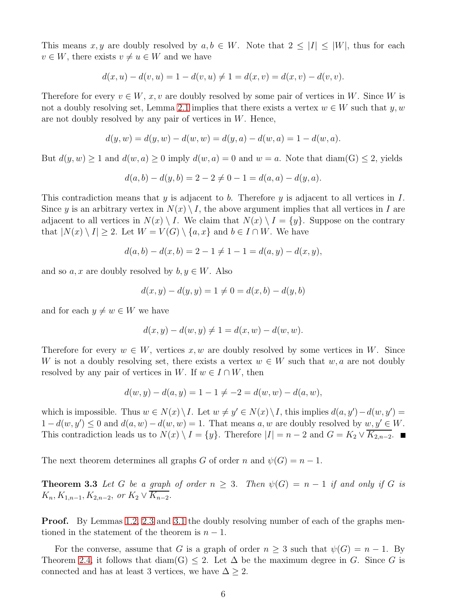This means x, y are doubly resolved by  $a, b \in W$ . Note that  $2 \leq |I| \leq |W|$ , thus for each  $v \in W$ , there exists  $v \neq u \in W$  and we have

$$
d(x, u) - d(v, u) = 1 - d(v, u) \neq 1 = d(x, v) = d(x, v) - d(v, v).
$$

Therefore for every  $v \in W$ , x, v are doubly resolved by some pair of vertices in W. Since W is not a doubly resolving set, Lemma [2.1](#page-2-2) implies that there exists a vertex  $w \in W$  such that y, w are not doubly resolved by any pair of vertices in  $W$ . Hence,

$$
d(y, w) = d(y, w) - d(w, w) = d(y, a) - d(w, a) = 1 - d(w, a).
$$

But  $d(y, w) \ge 1$  and  $d(w, a) \ge 0$  imply  $d(w, a) = 0$  and  $w = a$ . Note that  $diam(G) \le 2$ , yields

$$
d(a,b) - d(y,b) = 2 - 2 \neq 0 - 1 = d(a,a) - d(y,a).
$$

This contradiction means that y is adjacent to b. Therefore y is adjacent to all vertices in  $I$ . Since y is an arbitrary vertex in  $N(x) \setminus I$ , the above argument implies that all vertices in I are adjacent to all vertices in  $N(x) \setminus I$ . We claim that  $N(x) \setminus I = \{y\}$ . Suppose on the contrary that  $|N(x) \setminus I| \geq 2$ . Let  $W = V(G) \setminus \{a, x\}$  and  $b \in I \cap W$ . We have

$$
d(a,b) - d(x,b) = 2 - 1 \neq 1 - 1 = d(a,y) - d(x,y),
$$

and so  $a, x$  are doubly resolved by  $b, y \in W$ . Also

$$
d(x, y) - d(y, y) = 1 \neq 0 = d(x, b) - d(y, b)
$$

and for each  $y \neq w \in W$  we have

$$
d(x, y) - d(w, y) \neq 1 = d(x, w) - d(w, w).
$$

Therefore for every  $w \in W$ , vertices x, w are doubly resolved by some vertices in W. Since W is not a doubly resolving set, there exists a vertex  $w \in W$  such that  $w, a$  are not doubly resolved by any pair of vertices in W. If  $w \in I \cap W$ , then

$$
d(w, y) - d(a, y) = 1 - 1 \neq -2 = d(w, w) - d(a, w),
$$

which is impossible. Thus  $w \in N(x) \setminus I$ . Let  $w \neq y' \in N(x) \setminus I$ , this implies  $d(a, y') - d(w, y') =$  $1 - d(w, y') \leq 0$  and  $d(a, w) - d(w, w) = 1$ . That means a, w are doubly resolved by  $w, y' \in W$ . This contradiction leads us to  $N(x) \setminus I = \{y\}$ . Therefore  $|I| = n - 2$  and  $G = K_2 \vee \overline{K_{2,n-2}}$ .

The next theorem determines all graphs G of order n and  $\psi(G) = n - 1$ .

**Theorem 3.3** Let G be a graph of order  $n \geq 3$ . Then  $\psi(G) = n - 1$  if and only if G is  $K_n, K_{1,n-1}, K_{2,n-2}, \text{ or } K_2 \vee \overline{K_{n-2}}.$ 

**Proof.** By Lemmas [1.2,](#page-1-1) [2.3](#page-3-1) and [3.1](#page-4-1) the doubly resolving number of each of the graphs mentioned in the statement of the theorem is  $n-1$ .

For the converse, assume that G is a graph of order  $n \geq 3$  such that  $\psi(G) = n - 1$ . By Theorem [2.4,](#page-3-0) it follows that diam(G)  $\leq$  2. Let  $\Delta$  be the maximum degree in G. Since G is connected and has at least 3 vertices, we have  $\Delta \geq 2$ .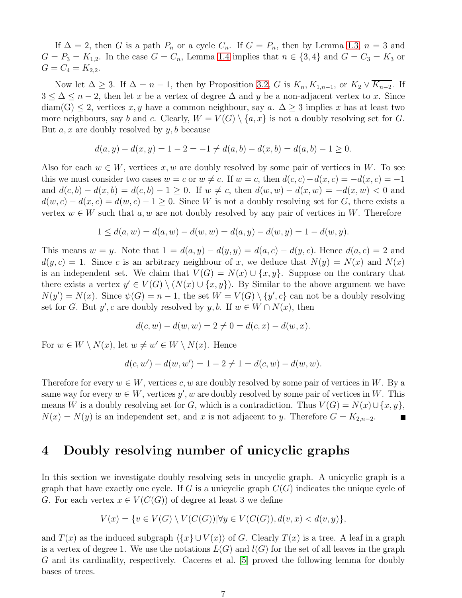If  $\Delta = 2$ , then G is a path  $P_n$  or a cycle  $C_n$ . If  $G = P_n$ , then by Lemma [1.3,](#page-1-0)  $n = 3$  and  $G = P_3 = K_{1,2}$ . In the case  $G = C_n$ , Lemma [1.4](#page-1-2) implies that  $n \in \{3, 4\}$  and  $G = C_3 = K_3$  or  $G = C_4 = K_{2,2}.$ 

Now let  $\Delta \geq 3$ . If  $\Delta = n - 1$ , then by Proposition [3.2,](#page-4-2) G is  $K_n, K_{1,n-1}$ , or  $K_2 \vee \overline{K_{n-2}}$ . If  $3 \leq \Delta \leq n-2$ , then let x be a vertex of degree  $\Delta$  and y be a non-adjacent vertex to x. Since  $diam(G) \leq 2$ , vertices x, y have a common neighbour, say a.  $\Delta \geq 3$  implies x has at least two more neighbours, say b and c. Clearly,  $W = V(G) \setminus \{a, x\}$  is not a doubly resolving set for G. But  $a, x$  are doubly resolved by  $y, b$  because

$$
d(a, y) - d(x, y) = 1 - 2 = -1 \neq d(a, b) - d(x, b) = d(a, b) - 1 \geq 0.
$$

Also for each  $w \in W$ , vertices x, w are doubly resolved by some pair of vertices in W. To see this we must consider two cases  $w = c$  or  $w \neq c$ . If  $w = c$ , then  $d(c, c) - d(x, c) = -d(x, c) = -1$ and  $d(c, b) - d(x, b) = d(c, b) - 1 \ge 0$ . If  $w \ne c$ , then  $d(w, w) - d(x, w) = -d(x, w) < 0$  and  $d(w, c) - d(x, c) = d(w, c) - 1 \geq 0$ . Since W is not a doubly resolving set for G, there exists a vertex  $w \in W$  such that a, w are not doubly resolved by any pair of vertices in W. Therefore

$$
1 \le d(a, w) = d(a, w) - d(w, w) = d(a, y) - d(w, y) = 1 - d(w, y).
$$

This means  $w = y$ . Note that  $1 = d(a, y) - d(y, y) = d(a, c) - d(y, c)$ . Hence  $d(a, c) = 2$  and  $d(y, c) = 1$ . Since c is an arbitrary neighbour of x, we deduce that  $N(y) = N(x)$  and  $N(x)$ is an independent set. We claim that  $V(G) = N(x) \cup \{x, y\}$ . Suppose on the contrary that there exists a vertex  $y' \in V(G) \setminus (N(x) \cup \{x, y\})$ . By Similar to the above argument we have  $N(y') = N(x)$ . Since  $\psi(G) = n - 1$ , the set  $W = V(G) \setminus \{y', c\}$  can not be a doubly resolving set for G. But y', c are doubly resolved by y, b. If  $w \in W \cap N(x)$ , then

$$
d(c, w) - d(w, w) = 2 \neq 0 = d(c, x) - d(w, x).
$$

For  $w \in W \setminus N(x)$ , let  $w \neq w' \in W \setminus N(x)$ . Hence

$$
d(c, w') - d(w, w') = 1 - 2 \neq 1 = d(c, w) - d(w, w).
$$

Therefore for every  $w \in W$ , vertices c, w are doubly resolved by some pair of vertices in W. By a same way for every  $w \in W$ , vertices  $y'$ , w are doubly resolved by some pair of vertices in W. This means W is a doubly resolving set for G, which is a contradiction. Thus  $V(G) = N(x) \cup \{x, y\}$ ,  $N(x) = N(y)$  is an independent set, and x is not adjacent to y. Therefore  $G = K_{2,n-2}$ .

## <span id="page-6-0"></span>4 Doubly resolving number of unicyclic graphs

In this section we investigate doubly resolving sets in uncyclic graph. A unicyclic graph is a graph that have exactly one cycle. If G is a unicyclic graph  $C(G)$  indicates the unique cycle of G. For each vertex  $x \in V(C(G))$  of degree at least 3 we define

<span id="page-6-1"></span>
$$
V(x) = \{ v \in V(G) \setminus V(C(G)) | \forall y \in V(C(G)), d(v, x) < d(v, y) \},
$$

and  $T(x)$  as the induced subgraph  $\langle \{x\} \cup V(x) \rangle$  of G. Clearly  $T(x)$  is a tree. A leaf in a graph is a vertex of degree 1. We use the notations  $L(G)$  and  $l(G)$  for the set of all leaves in the graph G and its cardinality, respectively. Caceres et al. [5] proved the following lemma for doubly bases of trees.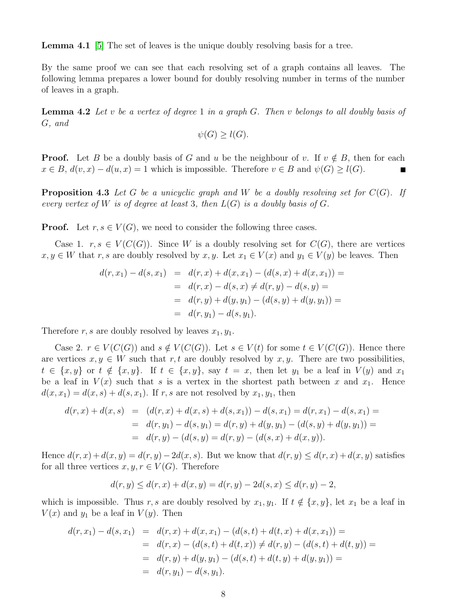Lemma 4.1 [5] The set of leaves is the unique doubly resolving basis for a tree.

By the same proof we can see that each resolving set of a graph contains all leaves. The following lemma prepares a lower bound for doubly resolving number in terms of the number of leaves in a graph.

**Lemma 4.2** Let v be a vertex of degree 1 in a graph G. Then v belongs to all doubly basis of G, and

$$
\psi(G) \ge l(G).
$$

<span id="page-7-0"></span>**Proof.** Let B be a doubly basis of G and u be the neighbour of v. If  $v \notin B$ , then for each  $x \in B$ ,  $d(v, x) - d(u, x) = 1$  which is impossible. Therefore  $v \in B$  and  $\psi(G) \ge l(G)$ .

**Proposition 4.3** Let G be a unicyclic graph and W be a doubly resolving set for  $C(G)$ . If every vertex of W is of degree at least 3, then  $L(G)$  is a doubly basis of G.

**Proof.** Let  $r, s \in V(G)$ , we need to consider the following three cases.

Case 1.  $r, s \in V(C(G))$ . Since W is a doubly resolving set for  $C(G)$ , there are vertices  $x, y \in W$  that r, s are doubly resolved by  $x, y$ . Let  $x_1 \in V(x)$  and  $y_1 \in V(y)$  be leaves. Then

$$
d(r, x_1) - d(s, x_1) = d(r, x) + d(x, x_1) - (d(s, x) + d(x, x_1)) =
$$
  
= 
$$
d(r, x) - d(s, x) \neq d(r, y) - d(s, y) =
$$
  
= 
$$
d(r, y) + d(y, y_1) - (d(s, y) + d(y, y_1)) =
$$
  
= 
$$
d(r, y_1) - d(s, y_1).
$$

Therefore r, s are doubly resolved by leaves  $x_1, y_1$ .

Case 2.  $r \in V(C(G))$  and  $s \notin V(C(G))$ . Let  $s \in V(t)$  for some  $t \in V(C(G))$ . Hence there are vertices  $x, y \in W$  such that r, t are doubly resolved by x, y. There are two possibilities,  $t \in \{x, y\}$  or  $t \notin \{x, y\}$ . If  $t \in \{x, y\}$ , say  $t = x$ , then let  $y_1$  be a leaf in  $V(y)$  and  $x_1$ be a leaf in  $V(x)$  such that s is a vertex in the shortest path between x and  $x_1$ . Hence  $d(x, x_1) = d(x, s) + d(s, x_1)$ . If r, s are not resolved by  $x_1, y_1$ , then

$$
d(r,x) + d(x,s) = (d(r,x) + d(x,s) + d(s,x_1)) - d(s,x_1) = d(r,x_1) - d(s,x_1) =
$$
  
= 
$$
d(r,y_1) - d(s,y_1) = d(r,y) + d(y,y_1) - (d(s,y) + d(y,y_1)) =
$$
  
= 
$$
d(r,y) - (d(s,y)) = d(r,y) - (d(s,x)) + d(x,y).
$$

Hence  $d(r, x) + d(x, y) = d(r, y) - 2d(x, s)$ . But we know that  $d(r, y) \leq d(r, x) + d(x, y)$  satisfies for all three vertices  $x, y, r \in V(G)$ . Therefore

$$
d(r, y) \le d(r, x) + d(x, y) = d(r, y) - 2d(s, x) \le d(r, y) - 2,
$$

which is impossible. Thus r, s are doubly resolved by  $x_1, y_1$ . If  $t \notin \{x, y\}$ , let  $x_1$  be a leaf in  $V(x)$  and  $y_1$  be a leaf in  $V(y)$ . Then

$$
d(r, x_1) - d(s, x_1) = d(r, x) + d(x, x_1) - (d(s, t) + d(t, x) + d(x, x_1)) =
$$
  
= 
$$
d(r, x) - (d(s, t) + d(t, x)) \neq d(r, y) - (d(s, t) + d(t, y)) =
$$
  
= 
$$
d(r, y) + d(y, y_1) - (d(s, t) + d(t, y) + d(y, y_1)) =
$$
  
= 
$$
d(r, y_1) - d(s, y_1).
$$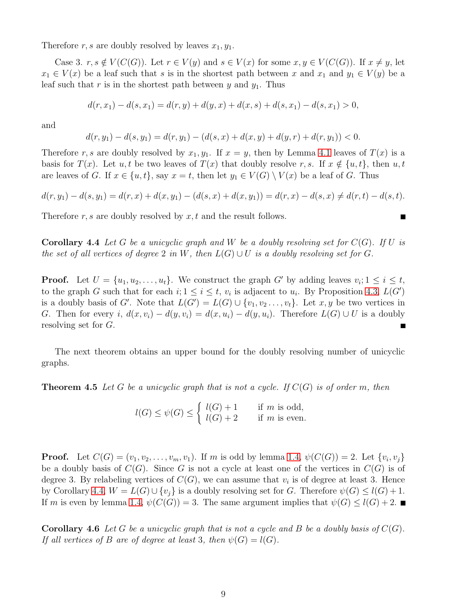Therefore r, s are doubly resolved by leaves  $x_1, y_1$ .

Case 3.  $r, s \notin V(C(G))$ . Let  $r \in V(y)$  and  $s \in V(x)$  for some  $x, y \in V(C(G))$ . If  $x \neq y$ , let  $x_1 \in V(x)$  be a leaf such that s is in the shortest path between x and  $x_1$  and  $y_1 \in V(y)$  be a leaf such that r is in the shortest path between y and  $y_1$ . Thus

$$
d(r, x1) - d(s, x1) = d(r, y) + d(y, x) + d(x, s) + d(s, x1) - d(s, x1) > 0,
$$

and

$$
d(r, y_1) - d(s, y_1) = d(r, y_1) - (d(s, x) + d(x, y) + d(y, r) + d(r, y_1)) < 0.
$$

Therefore r, s are doubly resolved by  $x_1, y_1$ . If  $x = y$ , then by Lemma [4.1](#page-6-1) leaves of  $T(x)$  is a basis for  $T(x)$ . Let  $u, t$  be two leaves of  $T(x)$  that doubly resolve r, s. If  $x \notin \{u, t\}$ , then  $u, t$ are leaves of G. If  $x \in \{u, t\}$ , say  $x = t$ , then let  $y_1 \in V(G) \setminus V(x)$  be a leaf of G. Thus

$$
d(r, y_1) - d(s, y_1) = d(r, x) + d(x, y_1) - (d(s, x) + d(x, y_1)) = d(r, x) - d(s, x) \neq d(r, t) - d(s, t).
$$

П

<span id="page-8-0"></span>Therefore r, s are doubly resolved by  $x, t$  and the result follows.

**Corollary 4.4** Let G be a unicyclic graph and W be a doubly resolving set for  $C(G)$ . If U is the set of all vertices of degree 2 in W, then  $L(G) \cup U$  is a doubly resolving set for G.

**Proof.** Let  $U = \{u_1, u_2, \ldots, u_t\}$ . We construct the graph G' by adding leaves  $v_i; 1 \le i \le t$ , to the graph G such that for each  $i; 1 \leq i \leq t$ ,  $v_i$  is adjacent to  $u_i$ . By Proposition [4.3,](#page-7-0)  $L(G')$ is a doubly basis of G'. Note that  $L(G') = L(G) \cup \{v_1, v_2, \ldots, v_t\}$ . Let  $x, y$  be two vertices in G. Then for every i,  $d(x, v_i) - d(y, v_i) = d(x, u_i) - d(y, u_i)$ . Therefore  $L(G) \cup U$  is a doubly resolving set for G. П

The next theorem obtains an upper bound for the doubly resolving number of unicyclic graphs.

**Theorem 4.5** Let G be a unicyclic graph that is not a cycle. If  $C(G)$  is of order m, then

$$
l(G) \le \psi(G) \le \begin{cases} l(G) + 1 & \text{if } m \text{ is odd,} \\ l(G) + 2 & \text{if } m \text{ is even.} \end{cases}
$$

**Proof.** Let  $C(G) = (v_1, v_2, \dots, v_m, v_1)$ . If m is odd by lemma [1.4,](#page-1-2)  $\psi(C(G)) = 2$ . Let  $\{v_i, v_j\}$ be a doubly basis of  $C(G)$ . Since G is not a cycle at least one of the vertices in  $C(G)$  is of degree 3. By relabeling vertices of  $C(G)$ , we can assume that  $v_i$  is of degree at least 3. Hence by Corollary [4.4,](#page-8-0)  $W = L(G) \cup \{v_i\}$  is a doubly resolving set for G. Therefore  $\psi(G) \leq l(G) + 1$ . If m is even by lemma [1.4,](#page-1-2)  $\psi(C(G)) = 3$ . The same argument implies that  $\psi(G) \leq l(G) + 2$ .

**Corollary 4.6** Let G be a unicyclic graph that is not a cycle and B be a doubly basis of  $C(G)$ . If all vertices of B are of degree at least 3, then  $\psi(G) = l(G)$ .